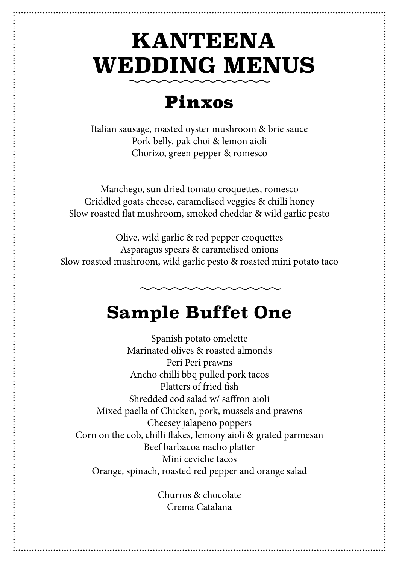# **KANTEENA WEDDING MENUS**

#### Pinxos

Italian sausage, roasted oyster mushroom & brie sauce Pork belly, pak choi & lemon aioli Chorizo, green pepper & romesco

Manchego, sun dried tomato croquettes, romesco Griddled goats cheese, caramelised veggies & chilli honey Slow roasted flat mushroom, smoked cheddar & wild garlic pesto

Olive, wild garlic & red pepper croquettes Asparagus spears & caramelised onions Slow roasted mushroom, wild garlic pesto & roasted mini potato taco

## **Sample Buffet One**

Spanish potato omelette Marinated olives & roasted almonds Peri Peri prawns Ancho chilli bbq pulled pork tacos Platters of fried fish Shredded cod salad w/ saffron aioli Mixed paella of Chicken, pork, mussels and prawns Cheesey jalapeno poppers Corn on the cob, chilli flakes, lemony aioli & grated parmesan Beef barbacoa nacho platter Mini ceviche tacos Orange, spinach, roasted red pepper and orange salad

> Churros & chocolate Crema Catalana